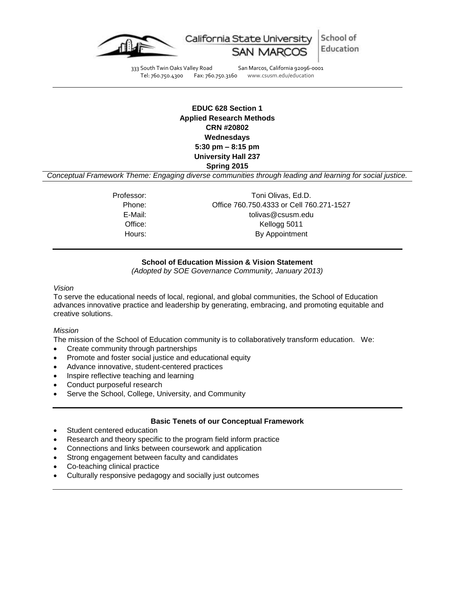

School of California State Universi Education

333 South Twin Oaks Valley Road San Marcos, California 92096-0001 Tel: 760.750.4300 Fax: 760.750.3160 www.csusm.edu/education

# **EDUC 628 Section 1 Applied Research Methods CRN #20802 Wednesdays 5:30 pm – 8:15 pm University Hall 237 Spring 2015**

*Conceptual Framework Theme: Engaging diverse communities through leading and learning for social justice.*

Professor: Toni Olivas, Ed.D. Phone: Office 760.750.4333 or Cell 760.271-1527 E-Mail: tolivas@csusm.edu Office: Kellogg 5011 Hours: By Appointment

# **School of Education Mission & Vision Statement**

*(Adopted by SOE Governance Community, January 2013)*

*Vision*

To serve the educational needs of local, regional, and global communities, the School of Education advances innovative practice and leadership by generating, embracing, and promoting equitable and creative solutions.

#### *Mission*

The mission of the School of Education community is to collaboratively transform education. We:

- Create community through partnerships
- Promote and foster social justice and educational equity
- Advance innovative, student-centered practices
- Inspire reflective teaching and learning
- Conduct purposeful research
- Serve the School, College, University, and Community

### **Basic Tenets of our Conceptual Framework**

- Student centered education
- Research and theory specific to the program field inform practice
- Connections and links between coursework and application
- Strong engagement between faculty and candidates
- Co-teaching clinical practice
- Culturally responsive pedagogy and socially just outcomes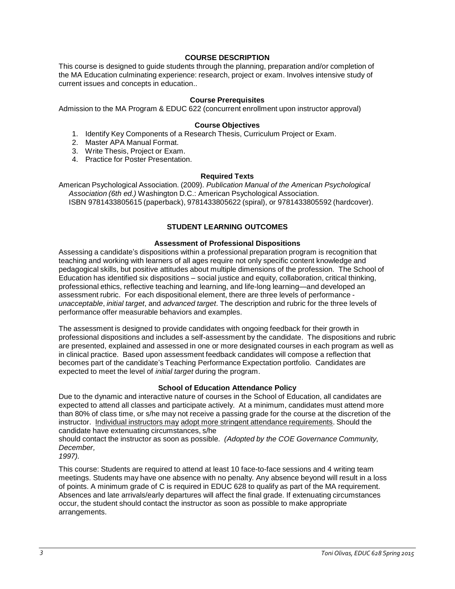# **COURSE DESCRIPTION**

This course is designed to guide students through the planning, preparation and/or completion of the MA Education culminating experience: research, project or exam. Involves intensive study of current issues and concepts in education..

### **Course Prerequisites**

Admission to the MA Program & EDUC 622 (concurrent enrollment upon instructor approval)

### **Course Objectives**

- 1. Identify Key Components of a Research Thesis, Curriculum Project or Exam.
- 2. Master APA Manual Format.
- 3. Write Thesis, Project or Exam.
- 4. Practice for Poster Presentation.

### **Required Texts**

American Psychological Association. (2009). *Publication Manual of the American Psychological Association (6th ed.)* Washington D.C.: American Psychological Association. ISBN 9781433805615 (paperback), 9781433805622 (spiral), or 9781433805592 (hardcover).

# **STUDENT LEARNING OUTCOMES**

### **Assessment of Professional Dispositions**

Assessing a candidate's dispositions within a professional preparation program is recognition that teaching and working with learners of all ages require not only specific content knowledge and pedagogical skills, but positive attitudes about multiple dimensions of the profession. The School of Education has identified six dispositions – social justice and equity, collaboration, critical thinking, professional ethics, reflective teaching and learning, and life-long learning—and developed an assessment rubric. For each dispositional element, there are three levels of performance *unacceptable*, *initial target*, and *advanced target*. The description and rubric for the three levels of performance offer measurable behaviors and examples.

The assessment is designed to provide candidates with ongoing feedback for their growth in professional dispositions and includes a self-assessment by the candidate. The dispositions and rubric are presented, explained and assessed in one or more designated courses in each program as well as in clinical practice. Based upon assessment feedback candidates will compose a reflection that becomes part of the candidate's Teaching Performance Expectation portfolio. Candidates are expected to meet the level of *initial target* during the program.

### **School of Education Attendance Policy**

Due to the dynamic and interactive nature of courses in the School of Education, all candidates are expected to attend all classes and participate actively. At a minimum, candidates must attend more than 80% of class time, or s/he may not receive a passing grade for the course at the discretion of the instructor. Individual instructors may adopt more stringent attendance requirements. Should the candidate have extenuating circumstances, s/he

should contact the instructor as soon as possible. *(Adopted by the COE Governance Community, December,*

*1997).*

This course: Students are required to attend at least 10 face-to-face sessions and 4 writing team meetings. Students may have one absence with no penalty. Any absence beyond will result in a loss of points. A minimum grade of C is required in EDUC 628 to qualify as part of the MA requirement. Absences and late arrivals/early departures will affect the final grade. If extenuating circumstances occur, the student should contact the instructor as soon as possible to make appropriate arrangements.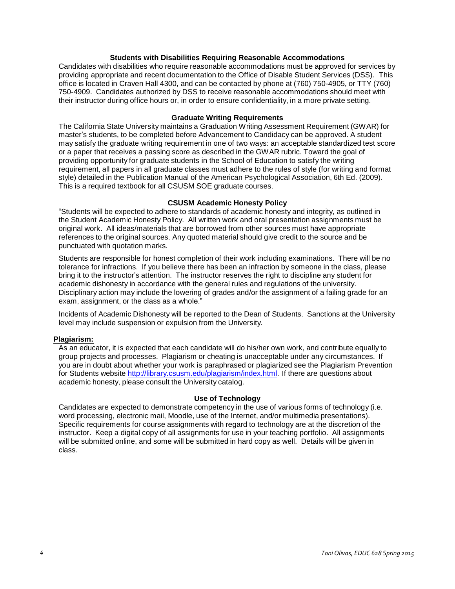### **Students with Disabilities Requiring Reasonable Accommodations**

Candidates with disabilities who require reasonable accommodations must be approved for services by providing appropriate and recent documentation to the Office of Disable Student Services (DSS). This office is located in Craven Hall 4300, and can be contacted by phone at (760) 750-4905, or TTY (760) 750-4909. Candidates authorized by DSS to receive reasonable accommodations should meet with their instructor during office hours or, in order to ensure confidentiality, in a more private setting.

### **Graduate Writing Requirements**

The California State University maintains a Graduation Writing Assessment Requirement (GWAR) for master's students, to be completed before Advancement to Candidacy can be approved. A student may satisfy the graduate writing requirement in one of two ways: an acceptable standardized test score or a paper that receives a passing score as described in the GWAR rubric. Toward the goal of providing opportunity for graduate students in the School of Education to satisfy the writing requirement, all papers in all graduate classes must adhere to the rules of style (for writing and format style) detailed in the Publication Manual of the American Psychological Association, 6th Ed. (2009). This is a required textbook for all CSUSM SOE graduate courses.

# **CSUSM Academic Honesty Policy**

"Students will be expected to adhere to standards of academic honesty and integrity, as outlined in the Student Academic Honesty Policy. All written work and oral presentation assignments must be original work. All ideas/materials that are borrowed from other sources must have appropriate references to the original sources. Any quoted material should give credit to the source and be punctuated with quotation marks.

Students are responsible for honest completion of their work including examinations. There will be no tolerance for infractions. If you believe there has been an infraction by someone in the class, please bring it to the instructor's attention. The instructor reserves the right to discipline any student for academic dishonesty in accordance with the general rules and regulations of the university. Disciplinary action may include the lowering of grades and/or the assignment of a failing grade for an exam, assignment, or the class as a whole."

Incidents of Academic Dishonesty will be reported to the Dean of Students. Sanctions at the University level may include suspension or expulsion from the University.

# **Plagiarism:**

As an educator, it is expected that each candidate will do his/her own work, and contribute equally to group projects and processes. Plagiarism or cheating is unacceptable under any circumstances. If you are in doubt about whether your work is paraphrased or plagiarized see the Plagiarism Prevention for Students website [http://library.csusm.edu/plagiarism/index.html.](http://library.csusm.edu/plagiarism/index.html) If there are questions about academic honesty, please consult the University catalog.

### **Use of Technology**

Candidates are expected to demonstrate competency in the use of various forms of technology (i.e. word processing, electronic mail, Moodle, use of the Internet, and/or multimedia presentations). Specific requirements for course assignments with regard to technology are at the discretion of the instructor. Keep a digital copy of all assignments for use in your teaching portfolio. All assignments will be submitted online, and some will be submitted in hard copy as well. Details will be given in class.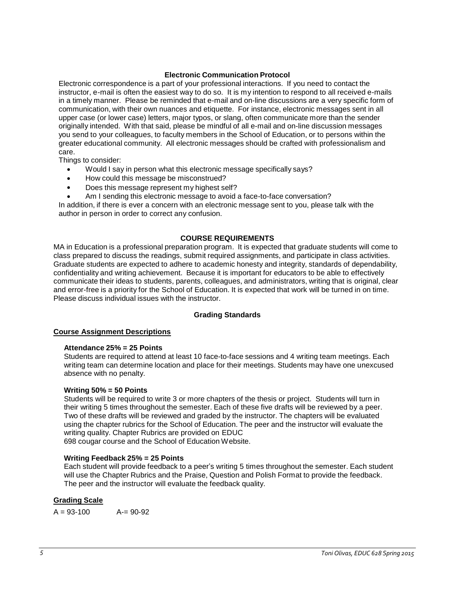### **Electronic Communication Protocol**

Electronic correspondence is a part of your professional interactions. If you need to contact the instructor, e-mail is often the easiest way to do so. It is my intention to respond to all received e-mails in a timely manner. Please be reminded that e-mail and on-line discussions are a very specific form of communication, with their own nuances and etiquette. For instance, electronic messages sent in all upper case (or lower case) letters, major typos, or slang, often communicate more than the sender originally intended. With that said, please be mindful of all e-mail and on-line discussion messages you send to your colleagues, to faculty members in the School of Education, or to persons within the greater educational community. All electronic messages should be crafted with professionalism and care.

Things to consider:

- Would I say in person what this electronic message specifically says?
- How could this message be misconstrued?
- Does this message represent my highest self?
- Am I sending this electronic message to avoid a face-to-face conversation?

In addition, if there is ever a concern with an electronic message sent to you, please talk with the author in person in order to correct any confusion.

### **COURSE REQUIREMENTS**

MA in Education is a professional preparation program. It is expected that graduate students will come to class prepared to discuss the readings, submit required assignments, and participate in class activities. Graduate students are expected to adhere to academic honesty and integrity, standards of dependability, confidentiality and writing achievement. Because it is important for educators to be able to effectively communicate their ideas to students, parents, colleagues, and administrators, writing that is original, clear and error-free is a priority for the School of Education. It is expected that work will be turned in on time. Please discuss individual issues with the instructor.

### **Grading Standards**

### **Course Assignment Descriptions**

### **Attendance 25% = 25 Points**

Students are required to attend at least 10 face-to-face sessions and 4 writing team meetings. Each writing team can determine location and place for their meetings. Students may have one unexcused absence with no penalty.

### **Writing 50% = 50 Points**

Students will be required to write 3 or more chapters of the thesis or project. Students will turn in their writing 5 times throughout the semester. Each of these five drafts will be reviewed by a peer. Two of these drafts will be reviewed and graded by the instructor. The chapters will be evaluated using the chapter rubrics for the School of Education. The peer and the instructor will evaluate the writing quality. Chapter Rubrics are provided on EDUC 698 cougar course and the School of Education Website.

### **Writing Feedback 25% = 25 Points**

Each student will provide feedback to a peer's writing 5 times throughout the semester. Each student will use the Chapter Rubrics and the Praise, Question and Polish Format to provide the feedback. The peer and the instructor will evaluate the feedback quality.

# **Grading Scale**

 $A = 93-100$   $A = 90-92$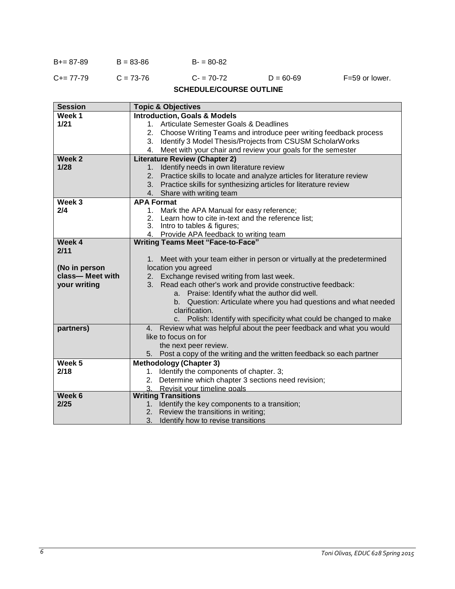| $B+=87-89$ | $B = 83 - 86$ | $B - 80 - 82$ |
|------------|---------------|---------------|
|            |               |               |

| C+= 77-79 | $C = 73-76$ | $C = 70-72$ | $D = 60 - 69$ | F=59 or lower. |
|-----------|-------------|-------------|---------------|----------------|
|           |             |             |               |                |

# **SCHEDULE/COURSE OUTLINE**

| <b>Session</b><br><b>Topic &amp; Objectives</b>                                             |  |  |  |
|---------------------------------------------------------------------------------------------|--|--|--|
| Week 1<br><b>Introduction, Goals &amp; Models</b>                                           |  |  |  |
| 1/21<br>Articulate Semester Goals & Deadlines<br>$1_{-}$                                    |  |  |  |
| Choose Writing Teams and introduce peer writing feedback process<br>2.                      |  |  |  |
| 3. Identify 3 Model Thesis/Projects from CSUSM ScholarWorks                                 |  |  |  |
| 4. Meet with your chair and review your goals for the semester                              |  |  |  |
| <b>Literature Review (Chapter 2)</b><br>Week 2                                              |  |  |  |
| 1/28<br>Identify needs in own literature review<br>1 <sub>1</sub>                           |  |  |  |
| Practice skills to locate and analyze articles for literature review<br>2.                  |  |  |  |
| 3. Practice skills for synthesizing articles for literature review                          |  |  |  |
| Share with writing team<br>4.                                                               |  |  |  |
| Week 3<br><b>APA Format</b>                                                                 |  |  |  |
| 2/4<br>Mark the APA Manual for easy reference;<br>1.                                        |  |  |  |
| Learn how to cite in-text and the reference list;                                           |  |  |  |
| 3. Intro to tables & figures;                                                               |  |  |  |
| 4. Provide APA feedback to writing team                                                     |  |  |  |
| Week 4<br><b>Writing Teams Meet "Face-to-Face"</b>                                          |  |  |  |
| 2/11                                                                                        |  |  |  |
| Meet with your team either in person or virtually at the predetermined<br>1.                |  |  |  |
| location you agreed<br>(No in person                                                        |  |  |  |
| class-Meet with<br>Exchange revised writing from last week.<br>2.                           |  |  |  |
| 3. Read each other's work and provide constructive feedback:<br>your writing                |  |  |  |
| Praise: Identify what the author did well.<br>a.                                            |  |  |  |
| Question: Articulate where you had questions and what needed<br>b.                          |  |  |  |
| clarification.                                                                              |  |  |  |
| Polish: Identify with specificity what could be changed to make<br>c.                       |  |  |  |
| Review what was helpful about the peer feedback and what you would<br>partners)<br>4.       |  |  |  |
| like to focus on for                                                                        |  |  |  |
| the next peer review.                                                                       |  |  |  |
| Post a copy of the writing and the written feedback so each partner<br>5.                   |  |  |  |
| Week <sub>5</sub><br><b>Methodology (Chapter 3)</b>                                         |  |  |  |
| 2/18<br>1. Identify the components of chapter. 3;                                           |  |  |  |
| Determine which chapter 3 sections need revision;<br>2.                                     |  |  |  |
| Revisit your timeline goals<br>3.                                                           |  |  |  |
| Week 6<br><b>Writing Transitions</b><br>2/25                                                |  |  |  |
| Identify the key components to a transition;<br>1.<br>2. Review the transitions in writing; |  |  |  |
| 3.<br>Identify how to revise transitions                                                    |  |  |  |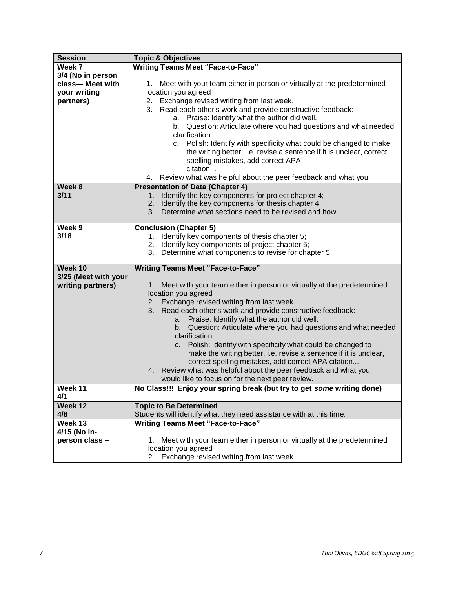| <b>Session</b>       | <b>Topic &amp; Objectives</b>                                                |  |
|----------------------|------------------------------------------------------------------------------|--|
| Week 7               | <b>Writing Teams Meet "Face-to-Face"</b>                                     |  |
| 3/4 (No in person    |                                                                              |  |
| class-Meet with      | Meet with your team either in person or virtually at the predetermined<br>1. |  |
| your writing         | location you agreed                                                          |  |
| partners)            | 2. Exchange revised writing from last week.                                  |  |
|                      | Read each other's work and provide constructive feedback:<br>3.              |  |
|                      | a. Praise: Identify what the author did well.                                |  |
|                      | b. Question: Articulate where you had questions and what needed              |  |
|                      | clarification.                                                               |  |
|                      | c. Polish: Identify with specificity what could be changed to make           |  |
|                      | the writing better, i.e. revise a sentence if it is unclear, correct         |  |
|                      | spelling mistakes, add correct APA                                           |  |
|                      | citation                                                                     |  |
|                      | Review what was helpful about the peer feedback and what you<br>4.           |  |
| Week 8               | <b>Presentation of Data (Chapter 4)</b>                                      |  |
| 3/11                 | Identify the key components for project chapter 4;<br>1 <sub>1</sub>         |  |
|                      | 2. Identify the key components for thesis chapter 4;                         |  |
|                      | 3. Determine what sections need to be revised and how                        |  |
|                      |                                                                              |  |
| Week 9               | <b>Conclusion (Chapter 5)</b>                                                |  |
| 3/18                 | 1. Identify key components of thesis chapter 5;                              |  |
|                      | 2. Identify key components of project chapter 5;                             |  |
|                      | 3. Determine what components to revise for chapter 5                         |  |
|                      |                                                                              |  |
| Week 10              | <b>Writing Teams Meet "Face-to-Face"</b>                                     |  |
| 3/25 (Meet with your |                                                                              |  |
| writing partners)    | 1. Meet with your team either in person or virtually at the predetermined    |  |
|                      | location you agreed                                                          |  |
|                      | 2. Exchange revised writing from last week.                                  |  |
|                      | 3. Read each other's work and provide constructive feedback:                 |  |
|                      | Praise: Identify what the author did well.<br>a.                             |  |
|                      | Question: Articulate where you had questions and what needed<br>b.           |  |
|                      | clarification.                                                               |  |
|                      | c. Polish: Identify with specificity what could be changed to                |  |
|                      | make the writing better, i.e. revise a sentence if it is unclear,            |  |
|                      | correct spelling mistakes, add correct APA citation                          |  |
|                      | 4. Review what was helpful about the peer feedback and what you              |  |
|                      | would like to focus on for the next peer review.                             |  |
| Week 11              | No Class!!! Enjoy your spring break (but try to get some writing done)       |  |
| 4/1                  |                                                                              |  |
| Week 12              | <b>Topic to Be Determined</b>                                                |  |
| 4/8                  | Students will identify what they need assistance with at this time.          |  |
| Week 13              | <b>Writing Teams Meet "Face-to-Face"</b>                                     |  |
| 4/15 (No in-         |                                                                              |  |
| person class --      | Meet with your team either in person or virtually at the predetermined<br>1. |  |
|                      | location you agreed                                                          |  |
|                      | Exchange revised writing from last week.<br>2.                               |  |